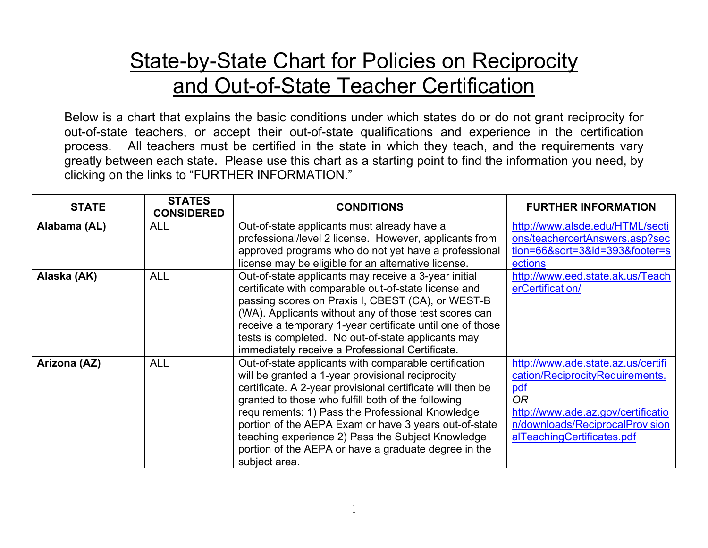## **State-by-State Chart for Policies on Reciprocity** and Out-of-State Teacher Certification

Below is a chart that explains the basic conditions under which states do or do not grant reciprocity for out-of-state teachers, or accept their out-of-state qualifications and experience in the certification process. All teachers must be certified in the state in which they teach, and the requirements vary greatly between each state. Please use this chart as a starting point to find the information you need, by clicking on the links to "FURTHER INFORMATION."

| <b>STATE</b> | <b>STATES</b><br><b>CONSIDERED</b> | <b>CONDITIONS</b>                                                                                                                                                                                                                                                                                                                                                                                                                                                        | <b>FURTHER INFORMATION</b>                                                                                                                                                                       |
|--------------|------------------------------------|--------------------------------------------------------------------------------------------------------------------------------------------------------------------------------------------------------------------------------------------------------------------------------------------------------------------------------------------------------------------------------------------------------------------------------------------------------------------------|--------------------------------------------------------------------------------------------------------------------------------------------------------------------------------------------------|
| Alabama (AL) | <b>ALL</b>                         | Out-of-state applicants must already have a<br>professional/level 2 license. However, applicants from<br>approved programs who do not yet have a professional<br>license may be eligible for an alternative license.                                                                                                                                                                                                                                                     | http://www.alsde.edu/HTML/secti<br>ons/teachercertAnswers.asp?sec<br>tion=66&sort=3&id=393&footer=s<br>ections                                                                                   |
| Alaska (AK)  | <b>ALL</b>                         | Out-of-state applicants may receive a 3-year initial<br>certificate with comparable out-of-state license and<br>passing scores on Praxis I, CBEST (CA), or WEST-B<br>(WA). Applicants without any of those test scores can<br>receive a temporary 1-year certificate until one of those<br>tests is completed. No out-of-state applicants may<br>immediately receive a Professional Certificate.                                                                         | http://www.eed.state.ak.us/Teach<br>erCertification/                                                                                                                                             |
| Arizona (AZ) | <b>ALL</b>                         | Out-of-state applicants with comparable certification<br>will be granted a 1-year provisional reciprocity<br>certificate. A 2-year provisional certificate will then be<br>granted to those who fulfill both of the following<br>requirements: 1) Pass the Professional Knowledge<br>portion of the AEPA Exam or have 3 years out-of-state<br>teaching experience 2) Pass the Subject Knowledge<br>portion of the AEPA or have a graduate degree in the<br>subject area. | http://www.ade.state.az.us/certifi<br>cation/ReciprocityRequirements.<br>pdf<br><b>OR</b><br>http://www.ade.az.gov/certificatio<br>n/downloads/ReciprocalProvision<br>alTeachingCertificates.pdf |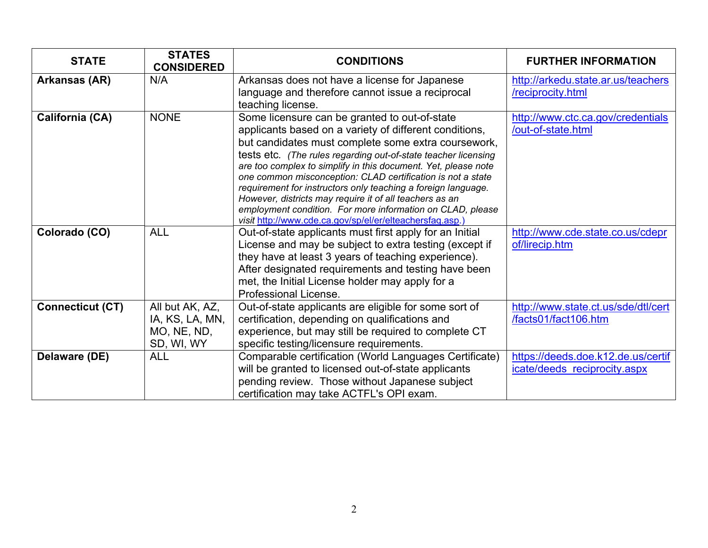| <b>STATE</b>            | <b>STATES</b><br><b>CONSIDERED</b> | <b>CONDITIONS</b>                                                                                                                | <b>FURTHER INFORMATION</b>                              |
|-------------------------|------------------------------------|----------------------------------------------------------------------------------------------------------------------------------|---------------------------------------------------------|
| Arkansas (AR)           | N/A                                | Arkansas does not have a license for Japanese<br>language and therefore cannot issue a reciprocal                                | http://arkedu.state.ar.us/teachers<br>/reciprocity.html |
|                         |                                    | teaching license.                                                                                                                |                                                         |
| California (CA)         | <b>NONE</b>                        | Some licensure can be granted to out-of-state                                                                                    | http://www.ctc.ca.gov/credentials                       |
|                         |                                    | applicants based on a variety of different conditions,                                                                           | /out-of-state.html                                      |
|                         |                                    | but candidates must complete some extra coursework,                                                                              |                                                         |
|                         |                                    | tests etc. (The rules regarding out-of-state teacher licensing<br>are too complex to simplify in this document. Yet, please note |                                                         |
|                         |                                    | one common misconception: CLAD certification is not a state                                                                      |                                                         |
|                         |                                    | requirement for instructors only teaching a foreign language.                                                                    |                                                         |
|                         |                                    | However, districts may require it of all teachers as an                                                                          |                                                         |
|                         |                                    | employment condition. For more information on CLAD, please<br>visit http://www.cde.ca.gov/sp/el/er/elteachersfaq.asp.)           |                                                         |
| Colorado (CO)           | <b>ALL</b>                         | Out-of-state applicants must first apply for an Initial                                                                          | http://www.cde.state.co.us/cdepr                        |
|                         |                                    | License and may be subject to extra testing (except if                                                                           | of/lirecip.htm                                          |
|                         |                                    | they have at least 3 years of teaching experience).                                                                              |                                                         |
|                         |                                    | After designated requirements and testing have been                                                                              |                                                         |
|                         |                                    | met, the Initial License holder may apply for a                                                                                  |                                                         |
|                         |                                    | Professional License.                                                                                                            |                                                         |
| <b>Connecticut (CT)</b> | All but AK, AZ,                    | Out-of-state applicants are eligible for some sort of                                                                            | http://www.state.ct.us/sde/dtl/cert                     |
|                         | IA, KS, LA, MN,                    | certification, depending on qualifications and                                                                                   | /facts01/fact106.htm                                    |
|                         | MO, NE, ND,                        | experience, but may still be required to complete CT                                                                             |                                                         |
|                         | SD, WI, WY                         | specific testing/licensure requirements.                                                                                         |                                                         |
| Delaware (DE)           | <b>ALL</b>                         | Comparable certification (World Languages Certificate)                                                                           | https://deeds.doe.k12.de.us/certif                      |
|                         |                                    | will be granted to licensed out-of-state applicants                                                                              | icate/deeds reciprocity.aspx                            |
|                         |                                    | pending review. Those without Japanese subject                                                                                   |                                                         |
|                         |                                    | certification may take ACTFL's OPI exam.                                                                                         |                                                         |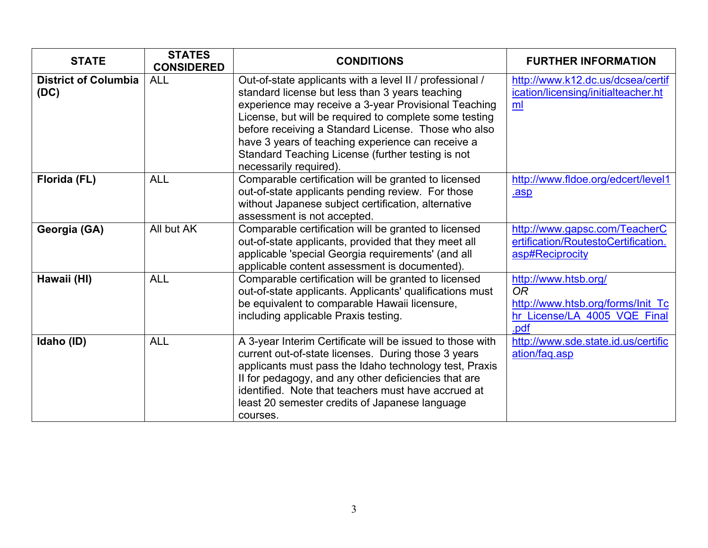| <b>STATE</b>                        | <b>STATES</b><br><b>CONSIDERED</b> | <b>CONDITIONS</b>                                                                                                                                                                                                                                                                                                                                                                                                        | <b>FURTHER INFORMATION</b>                                                                                     |
|-------------------------------------|------------------------------------|--------------------------------------------------------------------------------------------------------------------------------------------------------------------------------------------------------------------------------------------------------------------------------------------------------------------------------------------------------------------------------------------------------------------------|----------------------------------------------------------------------------------------------------------------|
| <b>District of Columbia</b><br>(DC) | <b>ALL</b>                         | Out-of-state applicants with a level II / professional /<br>standard license but less than 3 years teaching<br>experience may receive a 3-year Provisional Teaching<br>License, but will be required to complete some testing<br>before receiving a Standard License. Those who also<br>have 3 years of teaching experience can receive a<br>Standard Teaching License (further testing is not<br>necessarily required). | http://www.k12.dc.us/dcsea/certif<br>ication/licensing/initialteacher.ht<br>ml                                 |
| Florida (FL)                        | <b>ALL</b>                         | Comparable certification will be granted to licensed<br>out-of-state applicants pending review. For those<br>without Japanese subject certification, alternative<br>assessment is not accepted.                                                                                                                                                                                                                          | http://www.fldoe.org/edcert/level1<br>.asp                                                                     |
| Georgia (GA)                        | All but AK                         | Comparable certification will be granted to licensed<br>out-of-state applicants, provided that they meet all<br>applicable 'special Georgia requirements' (and all<br>applicable content assessment is documented).                                                                                                                                                                                                      | http://www.gapsc.com/TeacherC<br>ertification/RoutestoCertification.<br>asp#Reciprocity                        |
| Hawaii (HI)                         | <b>ALL</b>                         | Comparable certification will be granted to licensed<br>out-of-state applicants. Applicants' qualifications must<br>be equivalent to comparable Hawaii licensure,<br>including applicable Praxis testing.                                                                                                                                                                                                                | http://www.htsb.org/<br><b>OR</b><br>http://www.htsb.org/forms/Init Tc<br>hr License/LA 4005 VQE Final<br>.pdf |
| Idaho (ID)                          | <b>ALL</b>                         | A 3-year Interim Certificate will be issued to those with<br>current out-of-state licenses. During those 3 years<br>applicants must pass the Idaho technology test, Praxis<br>II for pedagogy, and any other deficiencies that are<br>identified. Note that teachers must have accrued at<br>least 20 semester credits of Japanese language<br>courses.                                                                  | http://www.sde.state.id.us/certific<br>ation/faq.asp                                                           |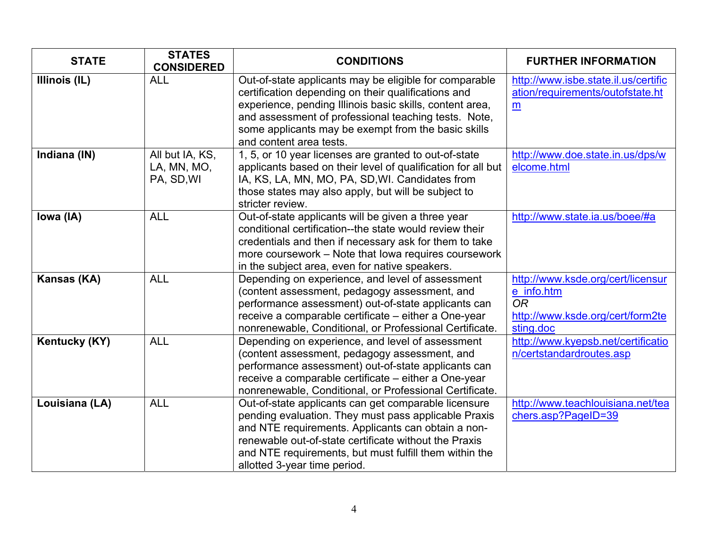| <b>STATE</b>   | <b>STATES</b><br><b>CONSIDERED</b>           | <b>CONDITIONS</b>                                                                                                                                                                                                                                                                                                     | <b>FURTHER INFORMATION</b>                                                                                    |
|----------------|----------------------------------------------|-----------------------------------------------------------------------------------------------------------------------------------------------------------------------------------------------------------------------------------------------------------------------------------------------------------------------|---------------------------------------------------------------------------------------------------------------|
| Illinois (IL)  | <b>ALL</b>                                   | Out-of-state applicants may be eligible for comparable<br>certification depending on their qualifications and<br>experience, pending Illinois basic skills, content area,<br>and assessment of professional teaching tests. Note,<br>some applicants may be exempt from the basic skills<br>and content area tests.   | http://www.isbe.state.il.us/certific<br>ation/requirements/outofstate.ht<br>$\underline{\mathbf{m}}$          |
| Indiana (IN)   | All but IA, KS,<br>LA, MN, MO,<br>PA, SD, WI | 1, 5, or 10 year licenses are granted to out-of-state<br>applicants based on their level of qualification for all but<br>IA, KS, LA, MN, MO, PA, SD, WI. Candidates from<br>those states may also apply, but will be subject to<br>stricter review.                                                                   | http://www.doe.state.in.us/dps/w<br>elcome.html                                                               |
| Iowa (IA)      | <b>ALL</b>                                   | Out-of-state applicants will be given a three year<br>conditional certification--the state would review their<br>credentials and then if necessary ask for them to take<br>more coursework – Note that lowa requires coursework<br>in the subject area, even for native speakers.                                     | http://www.state.ia.us/boee/#a                                                                                |
| Kansas (KA)    | <b>ALL</b>                                   | Depending on experience, and level of assessment<br>(content assessment, pedagogy assessment, and<br>performance assessment) out-of-state applicants can<br>receive a comparable certificate - either a One-year<br>nonrenewable, Conditional, or Professional Certificate.                                           | http://www.ksde.org/cert/licensur<br>e info.htm<br><b>OR</b><br>http://www.ksde.org/cert/form2te<br>sting.doc |
| Kentucky (KY)  | <b>ALL</b>                                   | Depending on experience, and level of assessment<br>(content assessment, pedagogy assessment, and<br>performance assessment) out-of-state applicants can<br>receive a comparable certificate – either a One-year<br>nonrenewable, Conditional, or Professional Certificate.                                           | http://www.kyepsb.net/certificatio<br>n/certstandardroutes.asp                                                |
| Louisiana (LA) | <b>ALL</b>                                   | Out-of-state applicants can get comparable licensure<br>pending evaluation. They must pass applicable Praxis<br>and NTE requirements. Applicants can obtain a non-<br>renewable out-of-state certificate without the Praxis<br>and NTE requirements, but must fulfill them within the<br>allotted 3-year time period. | http://www.teachlouisiana.net/tea<br>chers.asp?PageID=39                                                      |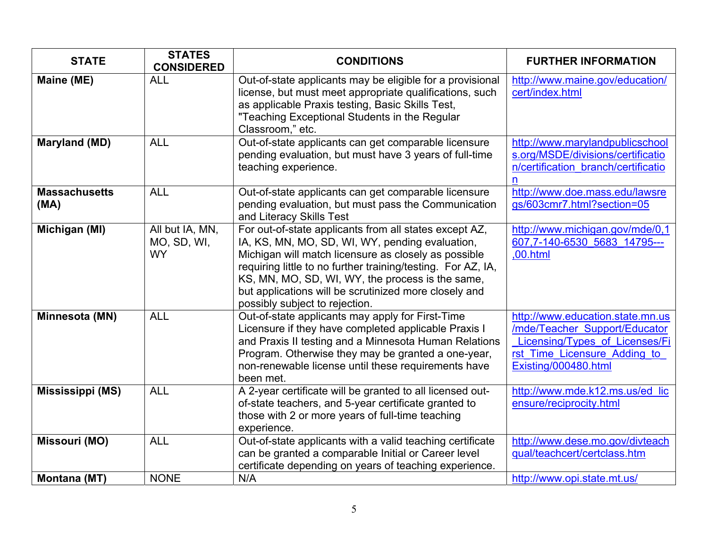| <b>STATE</b>                 | <b>STATES</b><br><b>CONSIDERED</b>          | <b>CONDITIONS</b>                                                                                                                                                                                                                                                                                                                                                                | <b>FURTHER INFORMATION</b>                                                                                                                                  |
|------------------------------|---------------------------------------------|----------------------------------------------------------------------------------------------------------------------------------------------------------------------------------------------------------------------------------------------------------------------------------------------------------------------------------------------------------------------------------|-------------------------------------------------------------------------------------------------------------------------------------------------------------|
| Maine (ME)                   | <b>ALL</b>                                  | Out-of-state applicants may be eligible for a provisional<br>license, but must meet appropriate qualifications, such<br>as applicable Praxis testing, Basic Skills Test,<br>"Teaching Exceptional Students in the Regular<br>Classroom," etc.                                                                                                                                    | http://www.maine.gov/education/<br>cert/index.html                                                                                                          |
| Maryland (MD)                | <b>ALL</b>                                  | Out-of-state applicants can get comparable licensure<br>pending evaluation, but must have 3 years of full-time<br>teaching experience.                                                                                                                                                                                                                                           | http://www.marylandpublicschool<br>s.org/MSDE/divisions/certificatio<br>n/certification branch/certificatio<br>n                                            |
| <b>Massachusetts</b><br>(MA) | <b>ALL</b>                                  | Out-of-state applicants can get comparable licensure<br>pending evaluation, but must pass the Communication<br>and Literacy Skills Test                                                                                                                                                                                                                                          | http://www.doe.mass.edu/lawsre<br>gs/603cmr7.html?section=05                                                                                                |
| Michigan (MI)                | All but IA, MN,<br>MO, SD, WI,<br><b>WY</b> | For out-of-state applicants from all states except AZ,<br>IA, KS, MN, MO, SD, WI, WY, pending evaluation,<br>Michigan will match licensure as closely as possible<br>requiring little to no further training/testing. For AZ, IA,<br>KS, MN, MO, SD, WI, WY, the process is the same,<br>but applications will be scrutinized more closely and<br>possibly subject to rejection. | http://www.michigan.gov/mde/0,1<br>607,7-140-6530 5683 14795---<br>,00.html                                                                                 |
| Minnesota (MN)               | <b>ALL</b>                                  | Out-of-state applicants may apply for First-Time<br>Licensure if they have completed applicable Praxis I<br>and Praxis II testing and a Minnesota Human Relations<br>Program. Otherwise they may be granted a one-year,<br>non-renewable license until these requirements have<br>been met.                                                                                      | http://www.education.state.mn.us<br>/mde/Teacher Support/Educator<br>Licensing/Types of Licenses/Fi<br>rst Time Licensure Adding to<br>Existing/000480.html |
| <b>Mississippi (MS)</b>      | <b>ALL</b>                                  | A 2-year certificate will be granted to all licensed out-<br>of-state teachers, and 5-year certificate granted to<br>those with 2 or more years of full-time teaching<br>experience.                                                                                                                                                                                             | http://www.mde.k12.ms.us/ed_lic<br>ensure/reciprocity.html                                                                                                  |
| <b>Missouri (MO)</b>         | <b>ALL</b>                                  | Out-of-state applicants with a valid teaching certificate<br>can be granted a comparable Initial or Career level<br>certificate depending on years of teaching experience.                                                                                                                                                                                                       | http://www.dese.mo.gov/divteach<br>qual/teachcert/certclass.htm                                                                                             |
| <b>Montana (MT)</b>          | <b>NONE</b>                                 | N/A                                                                                                                                                                                                                                                                                                                                                                              | http://www.opi.state.mt.us/                                                                                                                                 |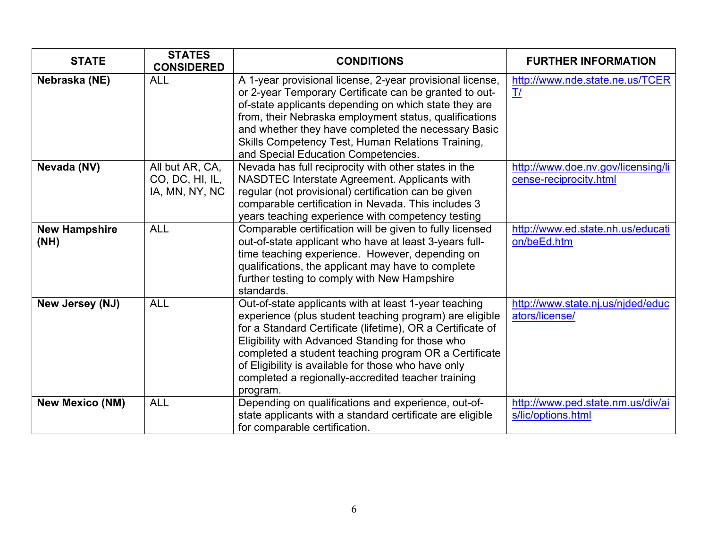| <b>STATE</b>                 | <b>STATES</b><br><b>CONSIDERED</b>                   | <b>CONDITIONS</b>                                                                                                                                                                                                                                                                                                                                                                                                    | <b>FURTHER INFORMATION</b>                                   |
|------------------------------|------------------------------------------------------|----------------------------------------------------------------------------------------------------------------------------------------------------------------------------------------------------------------------------------------------------------------------------------------------------------------------------------------------------------------------------------------------------------------------|--------------------------------------------------------------|
| Nebraska (NE)                | <b>ALL</b>                                           | A 1-year provisional license, 2-year provisional license,<br>or 2-year Temporary Certificate can be granted to out-<br>of-state applicants depending on which state they are<br>from, their Nebraska employment status, qualifications<br>and whether they have completed the necessary Basic<br>Skills Competency Test, Human Relations Training,<br>and Special Education Competencies.                            | http://www.nde.state.ne.us/TCER<br>$\mathbf{I}/$             |
| Nevada (NV)                  | All but AR, CA,<br>CO, DC, HI, IL,<br>IA, MN, NY, NC | Nevada has full reciprocity with other states in the<br>NASDTEC Interstate Agreement. Applicants with<br>regular (not provisional) certification can be given<br>comparable certification in Nevada. This includes 3<br>years teaching experience with competency testing                                                                                                                                            | http://www.doe.nv.gov/licensing/li<br>cense-reciprocity.html |
| <b>New Hampshire</b><br>(NH) | <b>ALL</b>                                           | Comparable certification will be given to fully licensed<br>out-of-state applicant who have at least 3-years full-<br>time teaching experience. However, depending on<br>qualifications, the applicant may have to complete<br>further testing to comply with New Hampshire<br>standards.                                                                                                                            | http://www.ed.state.nh.us/educati<br>on/beEd.htm             |
| New Jersey (NJ)              | <b>ALL</b>                                           | Out-of-state applicants with at least 1-year teaching<br>experience (plus student teaching program) are eligible<br>for a Standard Certificate (lifetime), OR a Certificate of<br>Eligibility with Advanced Standing for those who<br>completed a student teaching program OR a Certificate<br>of Eligibility is available for those who have only<br>completed a regionally-accredited teacher training<br>program. | http://www.state.nj.us/njded/educ<br>ators/license/          |
| <b>New Mexico (NM)</b>       | <b>ALL</b>                                           | Depending on qualifications and experience, out-of-<br>state applicants with a standard certificate are eligible<br>for comparable certification.                                                                                                                                                                                                                                                                    | http://www.ped.state.nm.us/div/ai<br>s/lic/options.html      |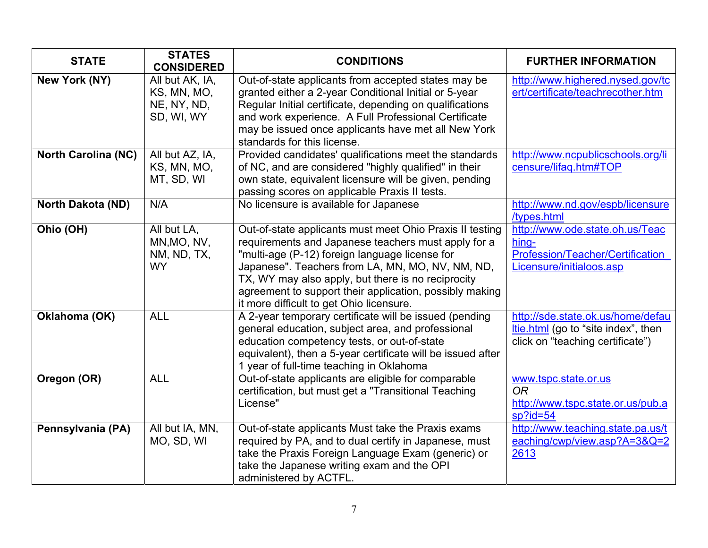| <b>STATE</b>               | <b>STATES</b><br><b>CONSIDERED</b>                          | <b>CONDITIONS</b>                                                                                                                                                                                                                                                                                                                                                                  | <b>FURTHER INFORMATION</b>                                                                                   |
|----------------------------|-------------------------------------------------------------|------------------------------------------------------------------------------------------------------------------------------------------------------------------------------------------------------------------------------------------------------------------------------------------------------------------------------------------------------------------------------------|--------------------------------------------------------------------------------------------------------------|
| New York (NY)              | All but AK, IA,<br>KS, MN, MO,<br>NE, NY, ND,<br>SD, WI, WY | Out-of-state applicants from accepted states may be<br>granted either a 2-year Conditional Initial or 5-year<br>Regular Initial certificate, depending on qualifications<br>and work experience. A Full Professional Certificate<br>may be issued once applicants have met all New York<br>standards for this license.                                                             | http://www.highered.nysed.gov/tc<br>ert/certificate/teachrecother.htm                                        |
| <b>North Carolina (NC)</b> | All but AZ, IA,<br>KS, MN, MO,<br>MT, SD, WI                | Provided candidates' qualifications meet the standards<br>of NC, and are considered "highly qualified" in their<br>own state, equivalent licensure will be given, pending<br>passing scores on applicable Praxis II tests.                                                                                                                                                         | http://www.ncpublicschools.org/li<br>censure/lifaq.htm#TOP                                                   |
| <b>North Dakota (ND)</b>   | N/A                                                         | No licensure is available for Japanese                                                                                                                                                                                                                                                                                                                                             | http://www.nd.gov/espb/licensure<br>/types.html                                                              |
| Ohio (OH)                  | All but LA,<br>MN, MO, NV,<br>NM, ND, TX,<br><b>WY</b>      | Out-of-state applicants must meet Ohio Praxis II testing<br>requirements and Japanese teachers must apply for a<br>"multi-age (P-12) foreign language license for<br>Japanese". Teachers from LA, MN, MO, NV, NM, ND,<br>TX, WY may also apply, but there is no reciprocity<br>agreement to support their application, possibly making<br>it more difficult to get Ohio licensure. | http://www.ode.state.oh.us/Teac<br>hing-<br>Profession/Teacher/Certification<br>Licensure/initialoos.asp     |
| Oklahoma (OK)              | <b>ALL</b>                                                  | A 2-year temporary certificate will be issued (pending<br>general education, subject area, and professional<br>education competency tests, or out-of-state<br>equivalent), then a 5-year certificate will be issued after<br>1 year of full-time teaching in Oklahoma                                                                                                              | http://sde.state.ok.us/home/defau<br>Itie.html (go to "site index", then<br>click on "teaching certificate") |
| Oregon (OR)                | <b>ALL</b>                                                  | Out-of-state applicants are eligible for comparable<br>certification, but must get a "Transitional Teaching<br>License"                                                                                                                                                                                                                                                            | www.tspc.state.or.us<br><b>OR</b><br>http://www.tspc.state.or.us/pub.a<br>$sp$ ?id=54                        |
| Pennsylvania (PA)          | All but IA, MN,<br>MO, SD, WI                               | Out-of-state applicants Must take the Praxis exams<br>required by PA, and to dual certify in Japanese, must<br>take the Praxis Foreign Language Exam (generic) or<br>take the Japanese writing exam and the OPI<br>administered by ACTFL.                                                                                                                                          | http://www.teaching.state.pa.us/t<br>eaching/cwp/view.asp?A=3&Q=2<br>2613                                    |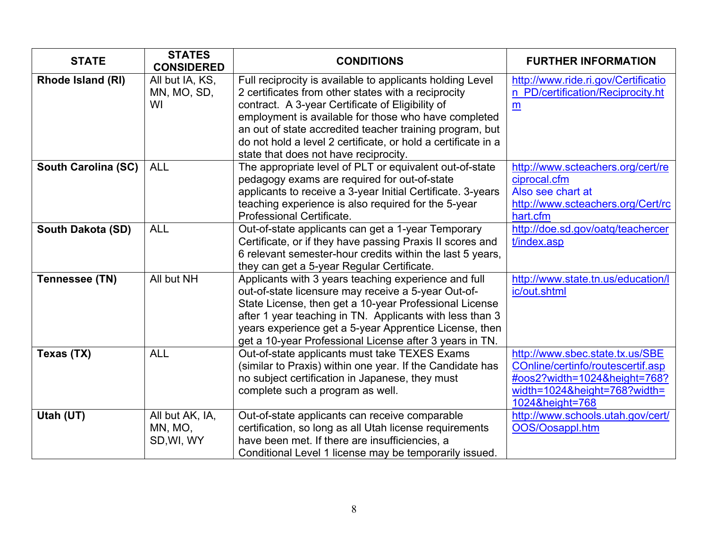| <b>STATE</b>               | <b>STATES</b><br><b>CONSIDERED</b> | <b>CONDITIONS</b>                                                                                           | <b>FURTHER INFORMATION</b>                         |
|----------------------------|------------------------------------|-------------------------------------------------------------------------------------------------------------|----------------------------------------------------|
| <b>Rhode Island (RI)</b>   | All but IA, KS,                    | Full reciprocity is available to applicants holding Level                                                   | http://www.ride.ri.gov/Certificatio                |
|                            | MN, MO, SD,                        | 2 certificates from other states with a reciprocity                                                         | n PD/certification/Reciprocity.ht                  |
|                            | WI                                 | contract. A 3-year Certificate of Eligibility of                                                            | m                                                  |
|                            |                                    | employment is available for those who have completed                                                        |                                                    |
|                            |                                    | an out of state accredited teacher training program, but                                                    |                                                    |
|                            |                                    | do not hold a level 2 certificate, or hold a certificate in a                                               |                                                    |
|                            |                                    | state that does not have reciprocity.                                                                       |                                                    |
| <b>South Carolina (SC)</b> | <b>ALL</b>                         | The appropriate level of PLT or equivalent out-of-state                                                     | http://www.scteachers.org/cert/re                  |
|                            |                                    | pedagogy exams are required for out-of-state                                                                | ciprocal.cfm                                       |
|                            |                                    | applicants to receive a 3-year Initial Certificate. 3-years                                                 | Also see chart at                                  |
|                            |                                    | teaching experience is also required for the 5-year                                                         | http://www.scteachers.org/Cert/rc                  |
|                            |                                    | Professional Certificate.                                                                                   | hart.cfm                                           |
| South Dakota (SD)          | <b>ALL</b>                         | Out-of-state applicants can get a 1-year Temporary                                                          | http://doe.sd.gov/oatq/teachercer                  |
|                            |                                    | Certificate, or if they have passing Praxis II scores and                                                   | t/index.asp                                        |
|                            |                                    | 6 relevant semester-hour credits within the last 5 years,                                                   |                                                    |
|                            |                                    | they can get a 5-year Regular Certificate.                                                                  |                                                    |
| Tennessee (TN)             | All but NH                         | Applicants with 3 years teaching experience and full<br>out-of-state licensure may receive a 5-year Out-of- | http://www.state.tn.us/education/l<br>ic/out.shtml |
|                            |                                    | State License, then get a 10-year Professional License                                                      |                                                    |
|                            |                                    | after 1 year teaching in TN. Applicants with less than 3                                                    |                                                    |
|                            |                                    | years experience get a 5-year Apprentice License, then                                                      |                                                    |
|                            |                                    | get a 10-year Professional License after 3 years in TN.                                                     |                                                    |
| Texas (TX)                 | <b>ALL</b>                         | Out-of-state applicants must take TEXES Exams                                                               | http://www.sbec.state.tx.us/SBE                    |
|                            |                                    | (similar to Praxis) within one year. If the Candidate has                                                   | COnline/certinfo/routescertif.asp                  |
|                            |                                    | no subject certification in Japanese, they must                                                             | #oos2?width=1024&height=768?                       |
|                            |                                    | complete such a program as well.                                                                            | width=1024&height=768?width=                       |
|                            |                                    |                                                                                                             | 1024&height=768                                    |
| Utah (UT)                  | All but AK, IA,                    | Out-of-state applicants can receive comparable                                                              | http://www.schools.utah.gov/cert/                  |
|                            | MN, MO,                            | certification, so long as all Utah license requirements                                                     | OOS/Oosappl.htm                                    |
|                            | SD, WI, WY                         | have been met. If there are insufficiencies, a                                                              |                                                    |
|                            |                                    | Conditional Level 1 license may be temporarily issued.                                                      |                                                    |